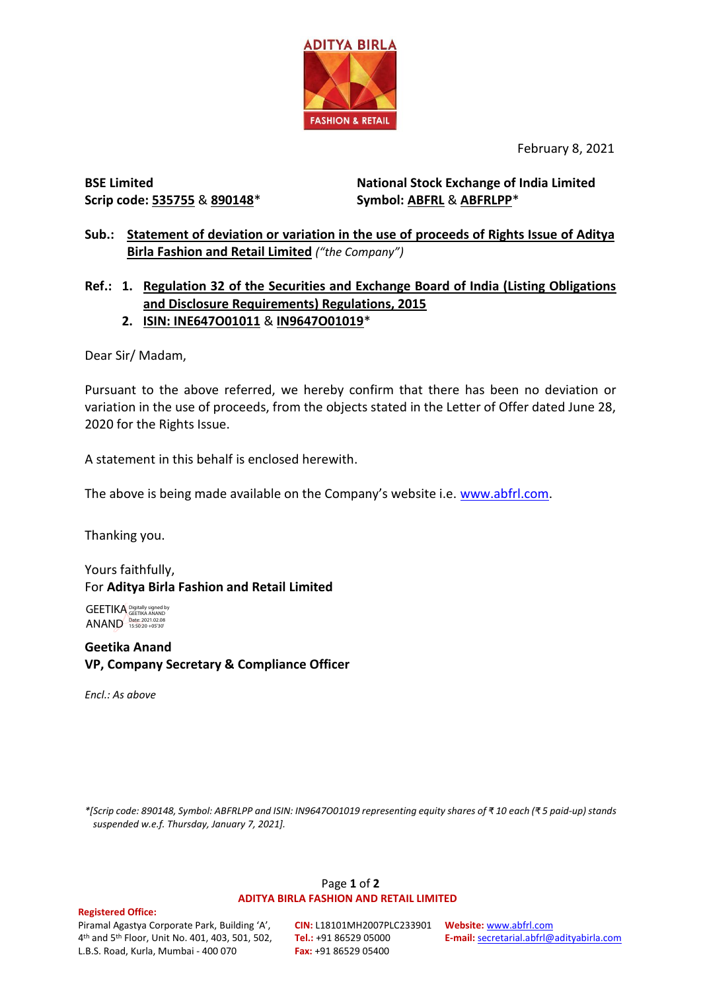

February 8, 2021

# **BSE Limited Scrip code: 535755** & **890148**\*

**National Stock Exchange of India Limited Symbol: ABFRL** & **ABFRLPP**\*

**Sub.: Statement of deviation or variation in the use of proceeds of Rights Issue of Aditya Birla Fashion and Retail Limited** *("the Company")*

# **Ref.: 1. Regulation 32 of the Securities and Exchange Board of India (Listing Obligations and Disclosure Requirements) Regulations, 2015**

# **2. ISIN: INE647O01011** & **IN9647O01019**\*

Dear Sir/ Madam,

Pursuant to the above referred, we hereby confirm that there has been no deviation or variation in the use of proceeds, from the objects stated in the Letter of Offer dated June 28, 2020 for the Rights Issue.

A statement in this behalf is enclosed herewith.

The above is being made available on the Company's website i.e. [www.abfrl.com.](http://www.abfrl.com/)

Thanking you.

Yours faithfully, For **Aditya Birla Fashion and Retail Limited**

GEETIKA Digitally signed by ANAND Date: 2021.02.08

**Geetika Anand VP, Company Secretary & Compliance Officer**

*Encl.: As above*

*\*[Scrip code: 890148, Symbol: ABFRLPP and ISIN: IN9647O01019 representing equity shares of ₹ 10 each (₹ 5 paid-up) stands suspended w.e.f. Thursday, January 7, 2021].*

#### Page **1** of **2 ADITYA BIRLA FASHION AND RETAIL LIMITED**

#### **Registered Office:**

Piramal Agastya Corporate Park, Building 'A', 4 th and 5th Floor, Unit No. 401, 403, 501, 502, L.B.S. Road, Kurla, Mumbai - 400 070

**CIN:** L18101MH2007PLC233901 **Website:** [www.abfrl.com](http://www.abfrl.com/) **Tel.:** +91 86529 05000 **Fax:** +91 86529 05400

**E-mail:** [secretarial.abfrl@adityabirla.com](mailto:secretarial.abfrl@adityabirla.com)